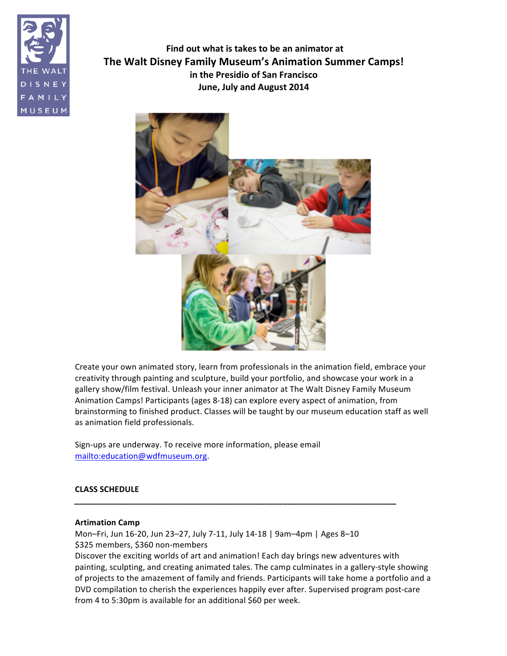

**Find out what is takes to be an animator at The Walt Disney Family Museum's Animation Summer Camps! in the Presidio of San Francisco June, July and August 2014** 



Create your own animated story, learn from professionals in the animation field, embrace your creativity through painting and sculpture, build your portfolio, and showcase your work in a gallery show/film festival. Unleash your inner animator at The Walt Disney Family Museum Animation Camps! Participants (ages 8-18) can explore every aspect of animation, from brainstorming to finished product. Classes will be taught by our museum education staff as well as animation field professionals.

Sign-ups are underway. To receive more information, please email mailto:education@wdfmuseum.org.

# **CLASS!SCHEDULE**

### **Artimation!Camp**

Mon-Fri, Jun 16-20, Jun 23-27, July 7-11, July 14-18 | 9am-4pm | Ages 8-10 \$325 members, \$360 non-members

*\_\_\_\_\_\_\_\_\_\_\_\_\_\_\_\_\_\_\_\_\_\_\_\_\_\_\_\_\_\_\_\_\_\_\_\_\_\_\_\_\_\_\_\_\_\_\_\_\_\_\_\_\_\_\_\_\_\_\_\_\_\_\_\_\_\_\_\_\_\_\_*

Discover the exciting worlds of art and animation! Each day brings new adventures with painting, sculpting, and creating animated tales. The camp culminates in a gallery-style showing of projects to the amazement of family and friends. Participants will take home a portfolio and a DVD compilation to cherish the experiences happily ever after. Supervised program post-care from 4 to 5:30pm is available for an additional \$60 per week.